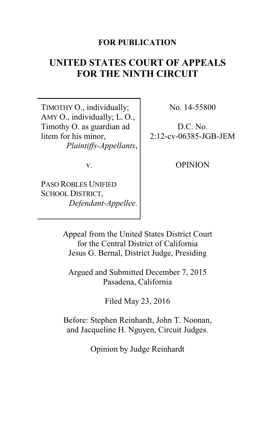### **FOR PUBLICATION**

# **UNITED STATES COURT OF APPEALS FOR THE NINTH CIRCUIT**

TIMOTHY O., individually; AMY O., individually; L. O., Timothy O. as guardian ad litem for his minor, *Plaintiffs-Appellants*, No. 14-55800

D.C. No. 2:12-cv-06385-JGB-JEM

v.

PASO ROBLES UNIFIED SCHOOL DISTRICT, *Defendant-Appellee.* OPINION

Appeal from the United States District Court for the Central District of California Jesus G. Bernal, District Judge, Presiding

Argued and Submitted December 7, 2015 Pasadena, California

Filed May 23, 2016

Before: Stephen Reinhardt, John T. Noonan, and Jacqueline H. Nguyen, Circuit Judges.

Opinion by Judge Reinhardt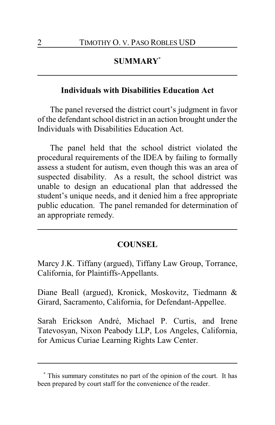## **SUMMARY\***

### **Individuals with Disabilities Education Act**

The panel reversed the district court's judgment in favor of the defendant school district in an action brought under the Individuals with Disabilities Education Act.

The panel held that the school district violated the procedural requirements of the IDEA by failing to formally assess a student for autism, even though this was an area of suspected disability. As a result, the school district was unable to design an educational plan that addressed the student's unique needs, and it denied him a free appropriate public education. The panel remanded for determination of an appropriate remedy.

#### **COUNSEL**

Marcy J.K. Tiffany (argued), Tiffany Law Group, Torrance, California, for Plaintiffs-Appellants.

Diane Beall (argued), Kronick, Moskovitz, Tiedmann & Girard, Sacramento, California, for Defendant-Appellee.

Sarah Erickson André, Michael P. Curtis, and Irene Tatevosyan, Nixon Peabody LLP, Los Angeles, California, for Amicus Curiae Learning Rights Law Center.

**<sup>\*</sup>** This summary constitutes no part of the opinion of the court. It has been prepared by court staff for the convenience of the reader.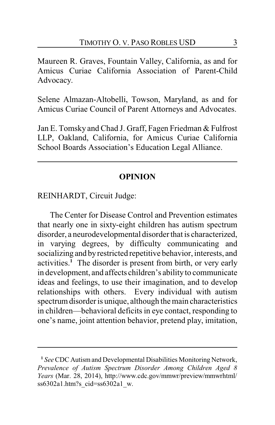Maureen R. Graves, Fountain Valley, California, as and for Amicus Curiae California Association of Parent-Child Advocacy.

Selene Almazan-Altobelli, Towson, Maryland, as and for Amicus Curiae Council of Parent Attorneys and Advocates.

Jan E. Tomsky and Chad J. Graff, Fagen Friedman & Fulfrost LLP, Oakland, California, for Amicus Curiae California School Boards Association's Education Legal Alliance.

### **OPINION**

REINHARDT, Circuit Judge:

The Center for Disease Control and Prevention estimates that nearly one in sixty-eight children has autism spectrum disorder, a neurodevelopmental disorder that is characterized, in varying degrees, by difficulty communicating and socializing and byrestricted repetitive behavior, interests, and activities.**<sup>1</sup>** The disorder is present from birth, or very early in development, and affects children's abilityto communicate ideas and feelings, to use their imagination, and to develop relationships with others. Every individual with autism spectrum disorder is unique, although the main characteristics in children—behavioral deficits in eye contact, responding to one's name, joint attention behavior, pretend play, imitation,

**<sup>1</sup>** *See* CDC Autismand Developmental Disabilities Monitoring Network, *Prevalence of Autism Spectrum Disorder Among Children Aged 8 Years* (Mar. 28, 2014), http://www.cdc.gov/mmwr/preview/mmwrhtml/ ss6302a1.htm?s\_cid=ss6302a1\_w.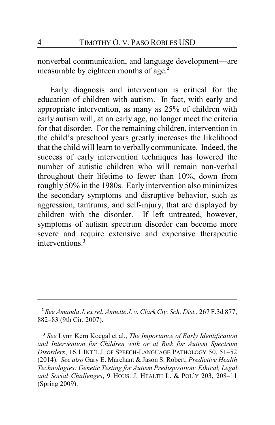nonverbal communication, and language development—are measurable by eighteen months of age. **2**

Early diagnosis and intervention is critical for the education of children with autism. In fact, with early and appropriate intervention, as many as 25% of children with early autism will, at an early age, no longer meet the criteria for that disorder. For the remaining children, intervention in the child's preschool years greatly increases the likelihood that the child will learn to verbally communicate. Indeed, the success of early intervention techniques has lowered the number of autistic children who will remain non-verbal throughout their lifetime to fewer than 10%, down from roughly 50% in the 1980s. Early intervention also minimizes the secondary symptoms and disruptive behavior, such as aggression, tantrums, and self-injury, that are displayed by children with the disorder. If left untreated, however, symptoms of autism spectrum disorder can become more severe and require extensive and expensive therapeutic interventions.**<sup>3</sup>**

**<sup>2</sup>** *See Amanda J. ex rel. Annette J. v. Clark Cty. Sch. Dist.*, 267 F.3d 877, 882–83 (9th Cir. 2007).

**<sup>3</sup>** *See* Lynn Kern Koegal et al., *The Importance of Early Identification and Intervention for Children with or at Risk for Autism Spectrum Disorders*, 16.1 INT'L J. OF SPEECH-LANGUAGE PATHOLOGY 50, 51–52 (2014). *See also* Gary E. Marchant & Jason S. Robert, *Predictive Health Technologies: Genetic Testing for Autism Predisposition: Ethical, Legal and Social Challenges*, 9 HOUS. J. HEALTH L. & POL'Y 203, 208–11 (Spring 2009).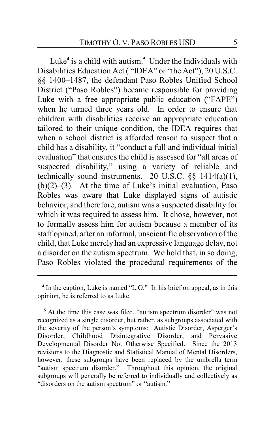Luke**<sup>4</sup>** is a child with autism.**<sup>5</sup>** Under the Individuals with Disabilities Education Act ( "IDEA" or "the Act"), 20 U.S.C. §§ 1400–1487, the defendant Paso Robles Unified School District ("Paso Robles") became responsible for providing Luke with a free appropriate public education ("FAPE") when he turned three years old. In order to ensure that children with disabilities receive an appropriate education tailored to their unique condition, the IDEA requires that when a school district is afforded reason to suspect that a child has a disability, it "conduct a full and individual initial evaluation" that ensures the child is assessed for "all areas of suspected disability," using a variety of reliable and technically sound instruments. 20 U.S.C.  $\S$ § 1414(a)(1),  $(b)(2)$ –(3). At the time of Luke's initial evaluation, Paso Robles was aware that Luke displayed signs of autistic behavior, and therefore, autism was a suspected disability for which it was required to assess him. It chose, however, not to formally assess him for autism because a member of its staff opined, after an informal, unscientific observation of the child, that Luke merely had an expressive language delay, not a disorder on the autism spectrum. We hold that, in so doing, Paso Robles violated the procedural requirements of the

<sup>&</sup>lt;sup>4</sup> In the caption, Luke is named "L.O." In his brief on appeal, as in this opinion, he is referred to as Luke.

**<sup>5</sup>** At the time this case was filed, "autism spectrum disorder" was not recognized as a single disorder, but rather, as subgroups associated with the severity of the person's symptoms: Autistic Disorder, Asperger's Disorder, Childhood Disintegrative Disorder, and Pervasive Developmental Disorder Not Otherwise Specified. Since the 2013 revisions to the Diagnostic and Statistical Manual of Mental Disorders, however, these subgroups have been replaced by the umbrella term "autism spectrum disorder." Throughout this opinion, the original subgroups will generally be referred to individually and collectively as "disorders on the autism spectrum" or "autism."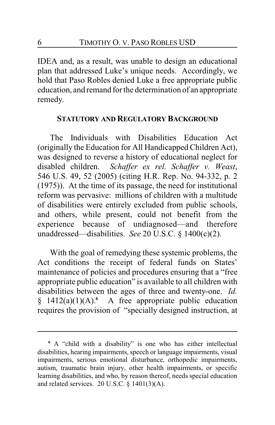IDEA and, as a result, was unable to design an educational plan that addressed Luke's unique needs. Accordingly, we hold that Paso Robles denied Luke a free appropriate public education, and remand for the determination of an appropriate remedy.

#### **STATUTORY AND REGULATORY BACKGROUND**

The Individuals with Disabilities Education Act (originally the Education for All Handicapped Children Act), was designed to reverse a history of educational neglect for disabled children. *Schaffer ex rel. Schaffer v. Weast*, 546 U.S. 49, 52 (2005) (citing H.R. Rep. No. 94-332, p. 2 (1975)). At the time of its passage, the need for institutional reform was pervasive: millions of children with a multitude of disabilities were entirely excluded from public schools, and others, while present, could not benefit from the experience because of undiagnosed—and therefore unaddressed—disabilities. *See* 20 U.S.C. § 1400(c)(2).

With the goal of remedying these systemic problems, the Act conditions the receipt of federal funds on States' maintenance of policies and procedures ensuring that a "free appropriate public education" is available to all children with disabilities between the ages of three and twenty-one. *Id.* § 1412(a)(1)(A).**<sup>6</sup>** A free appropriate public education requires the provision of "specially designed instruction, at

**<sup>6</sup>** A "child with a disability" is one who has either intellectual disabilities, hearing impairments, speech or language impairments, visual impairments, serious emotional disturbance, orthopedic impairments, autism, traumatic brain injury, other health impairments, or specific learning disabilities, and who, by reason thereof, needs special education and related services. 20 U.S.C. § 1401(3)(A).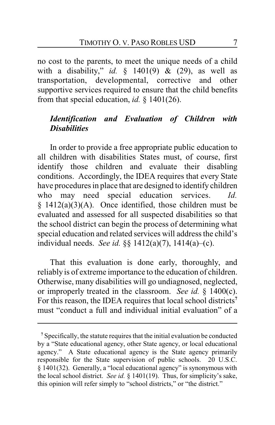no cost to the parents, to meet the unique needs of a child with a disability," *id.* § 1401(9) & (29), as well as transportation, developmental, corrective and other supportive services required to ensure that the child benefits from that special education, *id.* § 1401(26).

# *Identification and Evaluation of Children with Disabilities*

In order to provide a free appropriate public education to all children with disabilities States must, of course, first identify those children and evaluate their disabling conditions. Accordingly, the IDEA requires that every State have procedures in place that are designed to identify children who may need special education services. *Id.*  $§$  1412(a)(3)(A). Once identified, those children must be evaluated and assessed for all suspected disabilities so that the school district can begin the process of determining what special education and related services will address the child's individual needs. *See id.* §§ 1412(a)(7), 1414(a)–(c).

That this evaluation is done early, thoroughly, and reliably is of extreme importance to the education of children. Otherwise, many disabilities will go undiagnosed, neglected, or improperly treated in the classroom. *See id.* § 1400(c). For this reason, the IDEA requires that local school districts**<sup>7</sup>** must "conduct a full and individual initial evaluation" of a

**<sup>7</sup>** Specifically, the statute requires that the initial evaluation be conducted by a "State educational agency, other State agency, or local educational agency." A State educational agency is the State agency primarily responsible for the State supervision of public schools. 20 U.S.C. § 1401(32). Generally, a "local educational agency" is synonymous with the local school district. *See id.* § 1401(19). Thus, for simplicity's sake, this opinion will refer simply to "school districts," or "the district."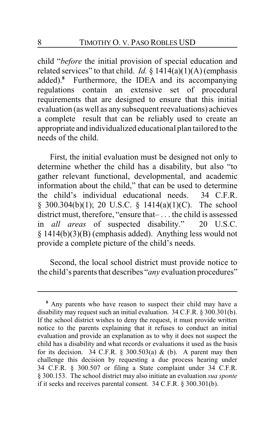child "*before* the initial provision of special education and related services" to that child. *Id.*  $\S$  1414(a)(1)(A) (emphasis added).**<sup>8</sup>** Furthermore, the IDEA and its accompanying regulations contain an extensive set of procedural requirements that are designed to ensure that this initial evaluation (as well as any subsequent reevaluations) achieves a complete result that can be reliably used to create an appropriate and individualized educational plan tailored to the needs of the child.

First, the initial evaluation must be designed not only to determine whether the child has a disability, but also "to gather relevant functional, developmental, and academic information about the child," that can be used to determine the child's individual educational needs. 34 C.F.R. § 300.304(b)(1); 20 U.S.C. § 1414(a)(1)(C). The school district must, therefore, "ensure that– . . . the child is assessed in *all areas* of suspected disability." 20 U.S.C. § 1414(b)(3)(B) (emphasis added). Anything less would not provide a complete picture of the child's needs.

Second, the local school district must provide notice to the child's parents that describes "*any* evaluation procedures"

**<sup>8</sup>** Any parents who have reason to suspect their child may have a disability may request such an initial evaluation. 34 C.F.R. § 300.301(b). If the school district wishes to deny the request, it must provide written notice to the parents explaining that it refuses to conduct an initial evaluation and provide an explanation as to why it does not suspect the child has a disability and what records or evaluations it used as the basis for its decision. 34 C.F.R. § 300.503(a) & (b). A parent may then challenge this decision by requesting a due process hearing under 34 C.F.R. § 300.507 or filing a State complaint under 34 C.F.R. § 300.153. The school district may also initiate an evaluation *sua sponte* if it seeks and receives parental consent. 34 C.F.R. § 300.301(b).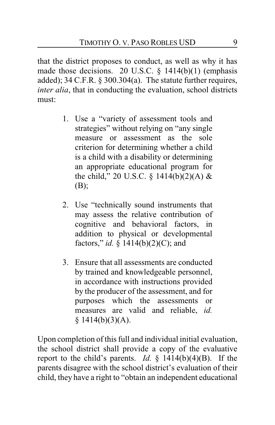that the district proposes to conduct, as well as why it has made those decisions. 20 U.S.C. § 1414(b)(1) (emphasis added); 34 C.F.R. § 300.304(a). The statute further requires, *inter alia*, that in conducting the evaluation, school districts must:

- 1. Use a "variety of assessment tools and strategies" without relying on "any single measure or assessment as the sole criterion for determining whether a child is a child with a disability or determining an appropriate educational program for the child," 20 U.S.C. § 1414(b)(2)(A) & (B);
- 2. Use "technically sound instruments that may assess the relative contribution of cognitive and behavioral factors, in addition to physical or developmental factors," *id.* § 1414(b)(2)(C); and
- 3. Ensure that all assessments are conducted by trained and knowledgeable personnel, in accordance with instructions provided by the producer of the assessment, and for purposes which the assessments or measures are valid and reliable, *id.*  $$1414(b)(3)(A).$

Upon completion of this full and individual initial evaluation, the school district shall provide a copy of the evaluative report to the child's parents. *Id.*  $\frac{1}{2}$  1414(b)(4)(B). If the parents disagree with the school district's evaluation of their child, they have a right to "obtain an independent educational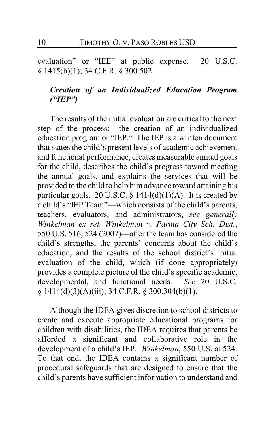evaluation" or "IEE" at public expense. 20 U.S.C. § 1415(b)(1); 34 C.F.R. § 300.502.

# *Creation of an Individualized Education Program ("IEP")*

The results of the initial evaluation are critical to the next step of the process: the creation of an individualized education program or "IEP." The IEP is a written document that states the child's present levels of academic achievement and functional performance, creates measurable annual goals for the child, describes the child's progress toward meeting the annual goals, and explains the services that will be provided to the child to help him advance toward attaining his particular goals. 20 U.S.C.  $\S$  1414(d)(1)(A). It is created by a child's "IEP Team"—which consists of the child's parents, teachers, evaluators, and administrators, *see generally Winkelman ex rel. Winkelman v. Parma City Sch. Dist.*, 550 U.S. 516, 524 (2007)—after the team has considered the child's strengths, the parents' concerns about the child's education, and the results of the school district's initial evaluation of the child, which (if done appropriately) provides a complete picture of the child's specific academic, developmental, and functional needs. *See* 20 U.S.C.  $§ 1414(d)(3)(A)(iii); 34 C.F.R. § 300.304(b)(1).$ 

Although the IDEA gives discretion to school districts to create and execute appropriate educational programs for children with disabilities, the IDEA requires that parents be afforded a significant and collaborative role in the development of a child's IEP. *Winkelman*, 550 U.S. at 524. To that end, the IDEA contains a significant number of procedural safeguards that are designed to ensure that the child's parents have sufficient information to understand and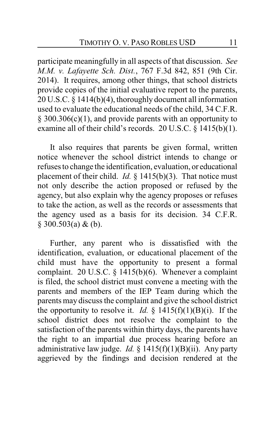participate meaningfully in all aspects of that discussion. *See M.M. v. Lafayette Sch. Dist.*, 767 F.3d 842, 851 (9th Cir. 2014). It requires, among other things, that school districts provide copies of the initial evaluative report to the parents, 20 U.S.C. § 1414(b)(4), thoroughly document all information used to evaluate the educational needs of the child, 34 C.F.R. § 300.306(c)(1), and provide parents with an opportunity to examine all of their child's records. 20 U.S.C. § 1415(b)(1).

It also requires that parents be given formal, written notice whenever the school district intends to change or refuses to change the identification, evaluation, or educational placement of their child. *Id.* § 1415(b)(3). That notice must not only describe the action proposed or refused by the agency, but also explain why the agency proposes or refuses to take the action, as well as the records or assessments that the agency used as a basis for its decision. 34 C.F.R.  $§$  300.503(a) & (b).

Further, any parent who is dissatisfied with the identification, evaluation, or educational placement of the child must have the opportunity to present a formal complaint. 20 U.S.C.  $\S$  1415(b)(6). Whenever a complaint is filed, the school district must convene a meeting with the parents and members of the IEP Team during which the parents may discuss the complaint and give the school district the opportunity to resolve it. *Id.*  $\S$  1415(f)(1)(B)(i). If the school district does not resolve the complaint to the satisfaction of the parents within thirty days, the parents have the right to an impartial due process hearing before an administrative law judge. *Id.*  $\S$  1415(f)(1)(B)(ii). Any party aggrieved by the findings and decision rendered at the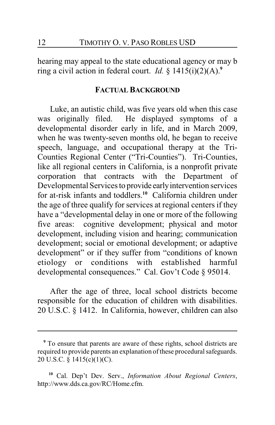hearing may appeal to the state educational agency or may b ring a civil action in federal court. *Id.*  $\oint$  1415(i)(2)(A).<sup>9</sup>

#### **FACTUAL BACKGROUND**

Luke, an autistic child, was five years old when this case was originally filed. He displayed symptoms of a developmental disorder early in life, and in March 2009, when he was twenty-seven months old, he began to receive speech, language, and occupational therapy at the Tri-Counties Regional Center ("Tri-Counties"). Tri-Counties, like all regional centers in California, is a nonprofit private corporation that contracts with the Department of Developmental Services to provide earlyintervention services for at-risk infants and toddlers.**<sup>10</sup>** California children under the age of three qualify for services at regional centers if they have a "developmental delay in one or more of the following five areas: cognitive development; physical and motor development, including vision and hearing; communication development; social or emotional development; or adaptive development" or if they suffer from "conditions of known etiology or conditions with established harmful developmental consequences." Cal. Gov't Code § 95014.

After the age of three, local school districts become responsible for the education of children with disabilities. 20 U.S.C. § 1412. In California, however, children can also

**<sup>9</sup>** To ensure that parents are aware of these rights, school districts are required to provide parents an explanation of these procedural safeguards. 20 U.S.C. § 1415(c)(1)(C).

**<sup>10</sup>** Cal. Dep't Dev. Serv., *Information About Regional Centers*, http://www.dds.ca.gov/RC/Home.cfm.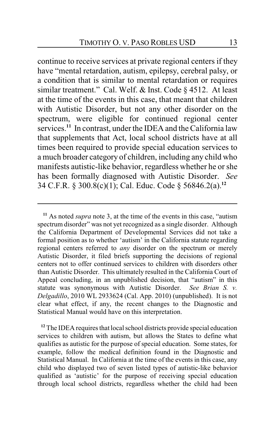continue to receive services at private regional centers if they have "mental retardation, autism, epilepsy, cerebral palsy, or a condition that is similar to mental retardation or requires similar treatment." Cal. Welf. & Inst. Code § 4512. At least at the time of the events in this case, that meant that children with Autistic Disorder, but not any other disorder on the spectrum, were eligible for continued regional center services.**<sup>11</sup>** In contrast, under the IDEA and the California law that supplements that Act, local school districts have at all times been required to provide special education services to a much broader category of children, including any child who manifests autistic-like behavior, regardless whether he or she has been formally diagnosed with Autistic Disorder. *See* 34 C.F.R. § 300.8(c)(1); Cal. Educ. Code § 56846.2(a).**<sup>12</sup>**

**<sup>11</sup>** As noted *supra* note 3, at the time of the events in this case, "autism spectrum disorder" was not yet recognized as a single disorder. Although the California Department of Developmental Services did not take a formal position as to whether 'autism' in the California statute regarding regional centers referred to *any* disorder on the spectrum or merely Autistic Disorder, it filed briefs supporting the decisions of regional centers not to offer continued services to children with disorders other than Autistic Disorder. This ultimately resulted in the California Court of Appeal concluding, in an unpublished decision, that "autism" in this statute was synonymous with Autistic Disorder. *See Brian S. v. Delgadillo*, 2010 WL 2933624 (Cal. App. 2010) (unpublished). It is not clear what effect, if any, the recent changes to the Diagnostic and Statistical Manual would have on this interpretation.

**<sup>12</sup>** The IDEA requires that local school districts provide special education services to children with autism, but allows the States to define what qualifies as autistic for the purpose of special education. Some states, for example, follow the medical definition found in the Diagnostic and Statistical Manual. In California at the time of the events in this case, any child who displayed two of seven listed types of autistic-like behavior qualified as 'autistic' for the purpose of receiving special education through local school districts, regardless whether the child had been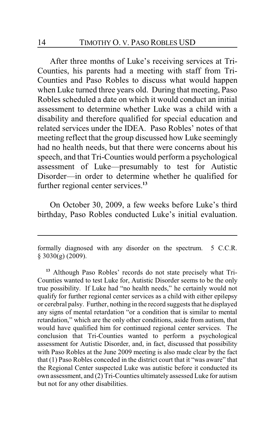After three months of Luke's receiving services at Tri-Counties, his parents had a meeting with staff from Tri-Counties and Paso Robles to discuss what would happen when Luke turned three years old. During that meeting, Paso Robles scheduled a date on which it would conduct an initial assessment to determine whether Luke was a child with a disability and therefore qualified for special education and related services under the IDEA. Paso Robles' notes of that meeting reflect that the group discussed how Luke seemingly had no health needs, but that there were concerns about his speech, and that Tri-Counties would perform a psychological assessment of Luke—presumably to test for Autistic Disorder—in order to determine whether he qualified for further regional center services.**<sup>13</sup>**

On October 30, 2009, a few weeks before Luke's third birthday, Paso Robles conducted Luke's initial evaluation.

formally diagnosed with any disorder on the spectrum. 5 C.C.R.  $§$  3030(g) (2009).

**<sup>13</sup>** Although Paso Robles' records do not state precisely what Tri-Counties wanted to test Luke for, Autistic Disorder seems to be the only true possibility. If Luke had "no health needs," he certainly would not qualify for further regional center services as a child with either epilepsy or cerebral palsy. Further, nothing in the record suggests that he displayed any signs of mental retardation "or a condition that is similar to mental retardation," which are the only other conditions, aside from autism, that would have qualified him for continued regional center services. The conclusion that Tri-Counties wanted to perform a psychological assessment for Autistic Disorder, and, in fact, discussed that possibility with Paso Robles at the June 2009 meeting is also made clear by the fact that (1) Paso Robles conceded in the district court that it "was aware" that the Regional Center suspected Luke was autistic before it conducted its own assessment, and (2) Tri-Counties ultimately assessed Luke for autism but not for any other disabilities.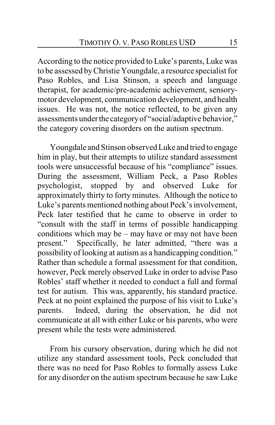According to the notice provided to Luke's parents, Luke was to be assessed byChristie Youngdale, a resource specialist for Paso Robles, and Lisa Stinson, a speech and language therapist, for academic/pre-academic achievement, sensorymotor development, communication development, and health issues. He was not, the notice reflected, to be given any assessments under the category of "social/adaptive behavior," the category covering disorders on the autism spectrum.

Youngdale and Stinson observed Luke and tried to engage him in play, but their attempts to utilize standard assessment tools were unsuccessful because of his "compliance" issues. During the assessment, William Peck, a Paso Robles psychologist, stopped by and observed Luke for approximately thirty to forty minutes. Although the notice to Luke's parents mentioned nothing about Peck's involvement, Peck later testified that he came to observe in order to "consult with the staff in terms of possible handicapping conditions which may be – may have or may not have been present." Specifically, he later admitted, "there was a possibility of looking at autism as a handicapping condition." Rather than schedule a formal assessment for that condition, however, Peck merely observed Luke in order to advise Paso Robles' staff whether it needed to conduct a full and formal test for autism. This was, apparently, his standard practice. Peck at no point explained the purpose of his visit to Luke's parents. Indeed, during the observation, he did not communicate at all with either Luke or his parents, who were present while the tests were administered.

From his cursory observation, during which he did not utilize any standard assessment tools, Peck concluded that there was no need for Paso Robles to formally assess Luke for any disorder on the autism spectrum because he saw Luke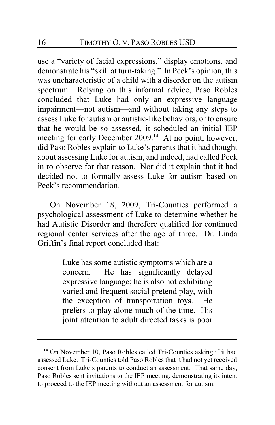use a "variety of facial expressions," display emotions, and demonstrate his "skill at turn-taking." In Peck's opinion, this was uncharacteristic of a child with a disorder on the autism spectrum. Relying on this informal advice, Paso Robles concluded that Luke had only an expressive language impairment—not autism—and without taking any steps to assess Luke for autism or autistic-like behaviors, or to ensure that he would be so assessed, it scheduled an initial IEP meeting for early December 2009.<sup>14</sup> At no point, however, did Paso Robles explain to Luke's parents that it had thought about assessing Luke for autism, and indeed, had called Peck in to observe for that reason. Nor did it explain that it had decided not to formally assess Luke for autism based on Peck's recommendation.

On November 18, 2009, Tri-Counties performed a psychological assessment of Luke to determine whether he had Autistic Disorder and therefore qualified for continued regional center services after the age of three. Dr. Linda Griffin's final report concluded that:

> Luke has some autistic symptoms which are a concern. He has significantly delayed expressive language; he is also not exhibiting varied and frequent social pretend play, with the exception of transportation toys. He prefers to play alone much of the time. His joint attention to adult directed tasks is poor

**<sup>14</sup>** On November 10, Paso Robles called Tri-Counties asking if it had assessed Luke. Tri-Counties told Paso Robles that it had not yet received consent from Luke's parents to conduct an assessment. That same day, Paso Robles sent invitations to the IEP meeting, demonstrating its intent to proceed to the IEP meeting without an assessment for autism.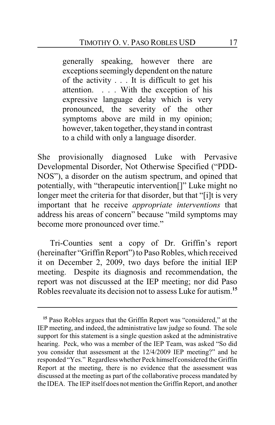generally speaking, however there are exceptions seemingly dependent on the nature of the activity . . . It is difficult to get his attention. . . . With the exception of his expressive language delay which is very pronounced, the severity of the other symptoms above are mild in my opinion; however, taken together, theystand in contrast to a child with only a language disorder.

She provisionally diagnosed Luke with Pervasive Developmental Disorder, Not Otherwise Specified ("PDD-NOS"), a disorder on the autism spectrum, and opined that potentially, with "therapeutic intervention[]" Luke might no longer meet the criteria for that disorder, but that "[i]t is very important that he receive *appropriate interventions* that address his areas of concern" because "mild symptoms may become more pronounced over time."

Tri-Counties sent a copy of Dr. Griffin's report (hereinafter "Griffin Report") to Paso Robles, which received it on December 2, 2009, two days before the initial IEP meeting. Despite its diagnosis and recommendation, the report was not discussed at the IEP meeting; nor did Paso Robles reevaluate its decision not to assess Luke for autism.**<sup>15</sup>**

**<sup>15</sup>** Paso Robles argues that the Griffin Report was "considered," at the IEP meeting, and indeed, the administrative law judge so found. The sole support for this statement is a single question asked at the administrative hearing. Peck, who was a member of the IEP Team, was asked "So did you consider that assessment at the 12/4/2009 IEP meeting?" and he responded "Yes." Regardless whether Peck himself considered the Griffin Report at the meeting, there is no evidence that the assessment was discussed at the meeting as part of the collaborative process mandated by the IDEA. The IEP itself does not mention the Griffin Report, and another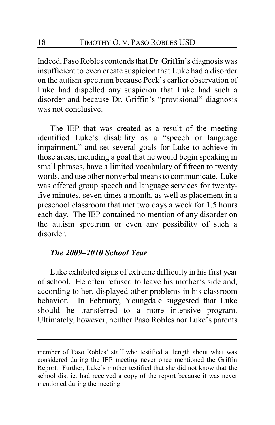Indeed, Paso Robles contends that Dr. Griffin's diagnosis was insufficient to even create suspicion that Luke had a disorder on the autism spectrum because Peck's earlier observation of Luke had dispelled any suspicion that Luke had such a disorder and because Dr. Griffin's "provisional" diagnosis was not conclusive.

The IEP that was created as a result of the meeting identified Luke's disability as a "speech or language impairment," and set several goals for Luke to achieve in those areas, including a goal that he would begin speaking in small phrases, have a limited vocabulary of fifteen to twenty words, and use other nonverbal means to communicate. Luke was offered group speech and language services for twentyfive minutes, seven times a month, as well as placement in a preschool classroom that met two days a week for 1.5 hours each day. The IEP contained no mention of any disorder on the autism spectrum or even any possibility of such a disorder.

### *The 2009–2010 School Year*

Luke exhibited signs of extreme difficulty in his first year of school. He often refused to leave his mother's side and, according to her, displayed other problems in his classroom behavior. In February, Youngdale suggested that Luke should be transferred to a more intensive program. Ultimately, however, neither Paso Robles nor Luke's parents

member of Paso Robles' staff who testified at length about what was considered during the IEP meeting never once mentioned the Griffin Report. Further, Luke's mother testified that she did not know that the school district had received a copy of the report because it was never mentioned during the meeting.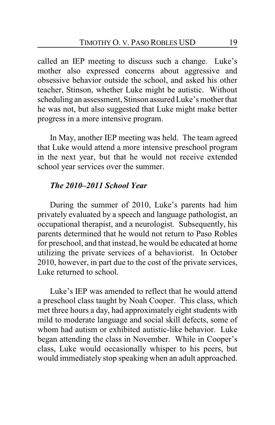called an IEP meeting to discuss such a change. Luke's mother also expressed concerns about aggressive and obsessive behavior outside the school, and asked his other teacher, Stinson, whether Luke might be autistic. Without scheduling an assessment, Stinson assured Luke's mother that he was not, but also suggested that Luke might make better progress in a more intensive program.

In May, another IEP meeting was held. The team agreed that Luke would attend a more intensive preschool program in the next year, but that he would not receive extended school year services over the summer.

### *The 2010–2011 School Year*

During the summer of 2010, Luke's parents had him privately evaluated by a speech and language pathologist, an occupational therapist, and a neurologist. Subsequently, his parents determined that he would not return to Paso Robles for preschool, and that instead, he would be educated at home utilizing the private services of a behaviorist. In October 2010, however, in part due to the cost of the private services, Luke returned to school.

Luke's IEP was amended to reflect that he would attend a preschool class taught by Noah Cooper. This class, which met three hours a day, had approximately eight students with mild to moderate language and social skill defects, some of whom had autism or exhibited autistic-like behavior. Luke began attending the class in November. While in Cooper's class, Luke would occasionally whisper to his peers, but would immediately stop speaking when an adult approached.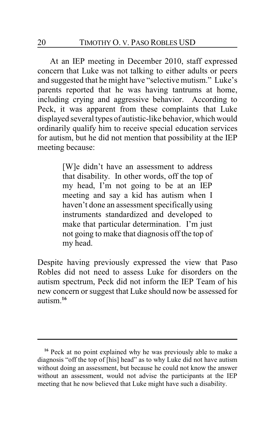At an IEP meeting in December 2010, staff expressed concern that Luke was not talking to either adults or peers and suggested that he might have "selective mutism." Luke's parents reported that he was having tantrums at home, including crying and aggressive behavior. According to Peck, it was apparent from these complaints that Luke displayed several types of autistic-like behavior, which would ordinarily qualify him to receive special education services for autism, but he did not mention that possibility at the IEP meeting because:

> [W]e didn't have an assessment to address that disability. In other words, off the top of my head, I'm not going to be at an IEP meeting and say a kid has autism when I haven't done an assessment specifically using instruments standardized and developed to make that particular determination. I'm just not going to make that diagnosis off the top of my head.

Despite having previously expressed the view that Paso Robles did not need to assess Luke for disorders on the autism spectrum, Peck did not inform the IEP Team of his new concern or suggest that Luke should now be assessed for autism.**<sup>16</sup>**

**<sup>16</sup>** Peck at no point explained why he was previously able to make a diagnosis "off the top of [his] head" as to why Luke did not have autism without doing an assessment, but because he could not know the answer without an assessment, would not advise the participants at the IEP meeting that he now believed that Luke might have such a disability.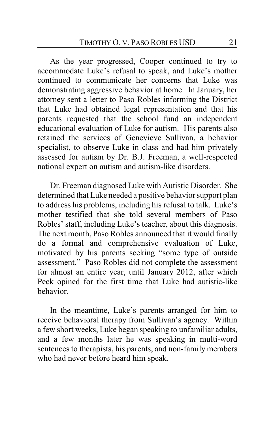As the year progressed, Cooper continued to try to accommodate Luke's refusal to speak, and Luke's mother continued to communicate her concerns that Luke was demonstrating aggressive behavior at home. In January, her attorney sent a letter to Paso Robles informing the District that Luke had obtained legal representation and that his parents requested that the school fund an independent educational evaluation of Luke for autism. His parents also retained the services of Genevieve Sullivan, a behavior specialist, to observe Luke in class and had him privately assessed for autism by Dr. B.J. Freeman, a well-respected national expert on autism and autism-like disorders.

Dr. Freeman diagnosed Luke with Autistic Disorder. She determined that Luke needed a positive behavior support plan to address his problems, including his refusal to talk. Luke's mother testified that she told several members of Paso Robles' staff, including Luke's teacher, about this diagnosis. The next month, Paso Robles announced that it would finally do a formal and comprehensive evaluation of Luke, motivated by his parents seeking "some type of outside assessment." Paso Robles did not complete the assessment for almost an entire year, until January 2012, after which Peck opined for the first time that Luke had autistic-like behavior.

In the meantime, Luke's parents arranged for him to receive behavioral therapy from Sullivan's agency. Within a few short weeks, Luke began speaking to unfamiliar adults, and a few months later he was speaking in multi-word sentences to therapists, his parents, and non-family members who had never before heard him speak.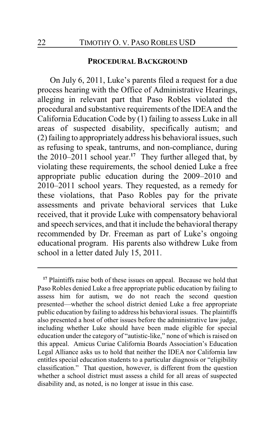#### **PROCEDURAL BACKGROUND**

On July 6, 2011, Luke's parents filed a request for a due process hearing with the Office of Administrative Hearings, alleging in relevant part that Paso Robles violated the procedural and substantive requirements of the IDEA and the California Education Code by (1) failing to assess Luke in all areas of suspected disability, specifically autism; and (2) failing to appropriately address his behavioral issues, such as refusing to speak, tantrums, and non-compliance, during the 2010–2011 school year.**<sup>17</sup>** They further alleged that, by violating these requirements, the school denied Luke a free appropriate public education during the 2009–2010 and 2010–2011 school years. They requested, as a remedy for these violations, that Paso Robles pay for the private assessments and private behavioral services that Luke received, that it provide Luke with compensatory behavioral and speech services, and that it include the behavioral therapy recommended by Dr. Freeman as part of Luke's ongoing educational program. His parents also withdrew Luke from school in a letter dated July 15, 2011.

<sup>&</sup>lt;sup>17</sup> Plaintiffs raise both of these issues on appeal. Because we hold that Paso Robles denied Luke a free appropriate public education by failing to assess him for autism, we do not reach the second question presented—whether the school district denied Luke a free appropriate public education by failing to address his behavioral issues. The plaintiffs also presented a host of other issues before the administrative law judge, including whether Luke should have been made eligible for special education under the category of "autistic-like," none of which is raised on this appeal. Amicus Curiae California Boards Association's Education Legal Alliance asks us to hold that neither the IDEA nor California law entitles special education students to a particular diagnosis or "eligibility classification." That question, however, is different from the question whether a school district must assess a child for all areas of suspected disability and, as noted, is no longer at issue in this case.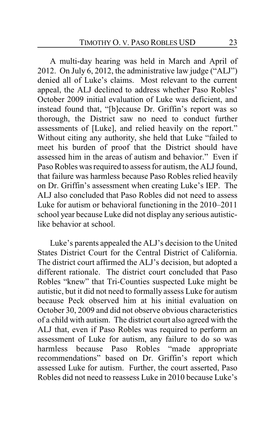A multi-day hearing was held in March and April of 2012. On July 6, 2012, the administrative law judge ("ALJ") denied all of Luke's claims. Most relevant to the current appeal, the ALJ declined to address whether Paso Robles' October 2009 initial evaluation of Luke was deficient, and instead found that, "[b]ecause Dr. Griffin's report was so thorough, the District saw no need to conduct further assessments of [Luke], and relied heavily on the report." Without citing any authority, she held that Luke "failed to meet his burden of proof that the District should have assessed him in the areas of autism and behavior." Even if Paso Robles was required to assess for autism, the ALJ found, that failure was harmless because Paso Robles relied heavily on Dr. Griffin's assessment when creating Luke's IEP. The ALJ also concluded that Paso Robles did not need to assess Luke for autism or behavioral functioning in the 2010–2011 school year because Luke did not display any serious autisticlike behavior at school.

Luke's parents appealed the ALJ's decision to the United States District Court for the Central District of California. The district court affirmed the ALJ's decision, but adopted a different rationale. The district court concluded that Paso Robles "knew" that Tri-Counties suspected Luke might be autistic, but it did not need to formally assess Luke for autism because Peck observed him at his initial evaluation on October 30, 2009 and did not observe obvious characteristics of a child with autism. The district court also agreed with the ALJ that, even if Paso Robles was required to perform an assessment of Luke for autism, any failure to do so was harmless because Paso Robles "made appropriate recommendations" based on Dr. Griffin's report which assessed Luke for autism. Further, the court asserted, Paso Robles did not need to reassess Luke in 2010 because Luke's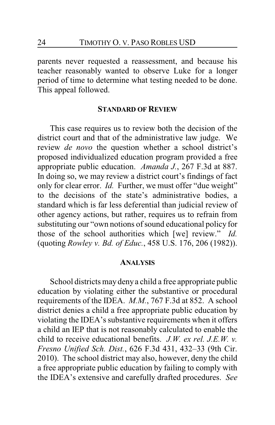parents never requested a reassessment, and because his teacher reasonably wanted to observe Luke for a longer period of time to determine what testing needed to be done. This appeal followed.

#### **STANDARD OF REVIEW**

This case requires us to review both the decision of the district court and that of the administrative law judge. We review *de novo* the question whether a school district's proposed individualized education program provided a free appropriate public education. *Amanda J.*, 267 F.3d at 887. In doing so, we may review a district court's findings of fact only for clear error. *Id.* Further, we must offer "due weight" to the decisions of the state's administrative bodies, a standard which is far less deferential than judicial review of other agency actions, but rather, requires us to refrain from substituting our "own notions of sound educational policy for those of the school authorities which [we] review." *Id.* (quoting *Rowley v. Bd. of Educ.*, 458 U.S. 176, 206 (1982)).

#### **ANALYSIS**

School districts may deny a child a free appropriate public education by violating either the substantive or procedural requirements of the IDEA. *M.M.*, 767 F.3d at 852. A school district denies a child a free appropriate public education by violating the IDEA's substantive requirements when it offers a child an IEP that is not reasonably calculated to enable the child to receive educational benefits. *J.W. ex rel. J.E.W. v. Fresno Unified Sch. Dist.*, 626 F.3d 431, 432–33 (9th Cir. 2010). The school district may also, however, deny the child a free appropriate public education by failing to comply with the IDEA's extensive and carefully drafted procedures. *See*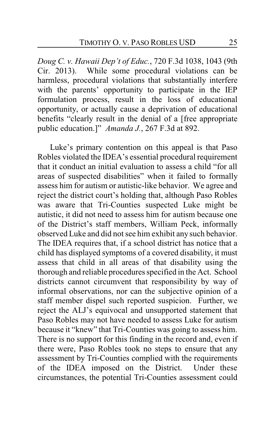*Doug C. v. Hawaii Dep't of Educ.*, 720 F.3d 1038, 1043 (9th Cir. 2013). While some procedural violations can be harmless, procedural violations that substantially interfere with the parents' opportunity to participate in the IEP formulation process, result in the loss of educational opportunity, or actually cause a deprivation of educational benefits "clearly result in the denial of a [free appropriate public education.]" *Amanda J.*, 267 F.3d at 892.

Luke's primary contention on this appeal is that Paso Robles violated the IDEA's essential procedural requirement that it conduct an initial evaluation to assess a child "for all areas of suspected disabilities" when it failed to formally assess him for autism or autistic-like behavior. We agree and reject the district court's holding that, although Paso Robles was aware that Tri-Counties suspected Luke might be autistic, it did not need to assess him for autism because one of the District's staff members, William Peck, informally observed Luke and did not see him exhibit any such behavior. The IDEA requires that, if a school district has notice that a child has displayed symptoms of a covered disability, it must assess that child in all areas of that disability using the thorough and reliable procedures specified in the Act. School districts cannot circumvent that responsibility by way of informal observations, nor can the subjective opinion of a staff member dispel such reported suspicion. Further, we reject the ALJ's equivocal and unsupported statement that Paso Robles may not have needed to assess Luke for autism because it "knew" that Tri-Counties was going to assess him. There is no support for this finding in the record and, even if there were, Paso Robles took no steps to ensure that any assessment by Tri-Counties complied with the requirements of the IDEA imposed on the District. Under these circumstances, the potential Tri-Counties assessment could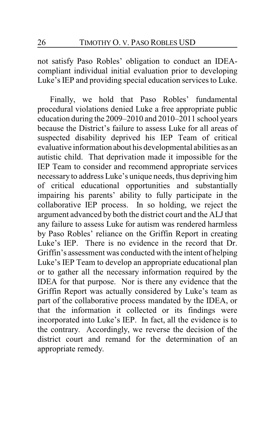not satisfy Paso Robles' obligation to conduct an IDEAcompliant individual initial evaluation prior to developing Luke's IEP and providing special education services to Luke.

Finally, we hold that Paso Robles' fundamental procedural violations denied Luke a free appropriate public education during the 2009–2010 and 2010–2011 school years because the District's failure to assess Luke for all areas of suspected disability deprived his IEP Team of critical evaluative information about his developmental abilities as an autistic child. That deprivation made it impossible for the IEP Team to consider and recommend appropriate services necessaryto address Luke's unique needs, thus depriving him of critical educational opportunities and substantially impairing his parents' ability to fully participate in the collaborative IEP process. In so holding, we reject the argument advanced by both the district court and the ALJ that any failure to assess Luke for autism was rendered harmless by Paso Robles' reliance on the Griffin Report in creating Luke's IEP. There is no evidence in the record that Dr. Griffin's assessment was conducted with the intent of helping Luke's IEP Team to develop an appropriate educational plan or to gather all the necessary information required by the IDEA for that purpose. Nor is there any evidence that the Griffin Report was actually considered by Luke's team as part of the collaborative process mandated by the IDEA, or that the information it collected or its findings were incorporated into Luke's IEP. In fact, all the evidence is to the contrary. Accordingly, we reverse the decision of the district court and remand for the determination of an appropriate remedy.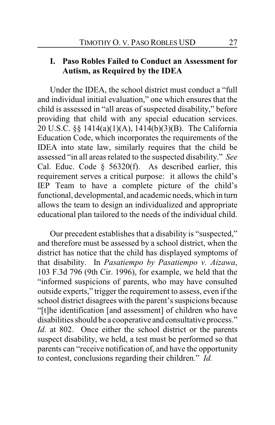### **I. Paso Robles Failed to Conduct an Assessment for Autism, as Required by the IDEA**

Under the IDEA, the school district must conduct a "full and individual initial evaluation," one which ensures that the child is assessed in "all areas of suspected disability," before providing that child with any special education services. 20 U.S.C. §§ 1414(a)(1)(A), 1414(b)(3)(B). The California Education Code, which incorporates the requirements of the IDEA into state law, similarly requires that the child be assessed "in all areas related to the suspected disability." *See* Cal. Educ. Code  $\S$  56320(f). As described earlier, this requirement serves a critical purpose: it allows the child's IEP Team to have a complete picture of the child's functional, developmental, and academic needs, which in turn allows the team to design an individualized and appropriate educational plan tailored to the needs of the individual child.

Our precedent establishes that a disability is "suspected," and therefore must be assessed by a school district, when the district has notice that the child has displayed symptoms of that disability. In *Pasatiempo by Pasatiempo v. Aizawa*, 103 F.3d 796 (9th Cir. 1996), for example, we held that the "informed suspicions of parents, who may have consulted outside experts," trigger the requirement to assess, even if the school district disagrees with the parent's suspicions because "[t]he identification [and assessment] of children who have disabilities should be a cooperative and consultative process." *Id.* at 802. Once either the school district or the parents suspect disability, we held, a test must be performed so that parents can "receive notification of, and have the opportunity to contest, conclusions regarding their children." *Id.*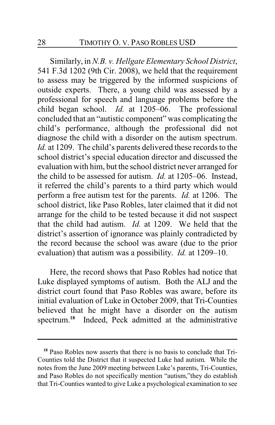Similarly, in *N.B. v. Hellgate Elementary School District*, 541 F.3d 1202 (9th Cir. 2008), we held that the requirement to assess may be triggered by the informed suspicions of outside experts. There, a young child was assessed by a professional for speech and language problems before the child began school. *Id.* at 1205–06. The professional concluded that an "autistic component" was complicating the child's performance, although the professional did not diagnose the child with a disorder on the autism spectrum. *Id.* at 1209. The child's parents delivered these records to the school district's special education director and discussed the evaluation with him, but the school district never arranged for the child to be assessed for autism. *Id.* at 1205–06. Instead, it referred the child's parents to a third party which would perform a free autism test for the parents. *Id.* at 1206. The school district, like Paso Robles, later claimed that it did not arrange for the child to be tested because it did not suspect that the child had autism. *Id.* at 1209. We held that the district's assertion of ignorance was plainly contradicted by the record because the school was aware (due to the prior evaluation) that autism was a possibility. *Id.* at 1209–10.

Here, the record shows that Paso Robles had notice that Luke displayed symptoms of autism. Both the ALJ and the district court found that Paso Robles was aware, before its initial evaluation of Luke in October 2009, that Tri-Counties believed that he might have a disorder on the autism spectrum.**<sup>18</sup>** Indeed, Peck admitted at the administrative

**<sup>18</sup>** Paso Robles now asserts that there is no basis to conclude that Tri-Counties told the District that it suspected Luke had autism. While the notes from the June 2009 meeting between Luke's parents, Tri-Counties, and Paso Robles do not specifically mention "autism,"they do establish that Tri-Counties wanted to give Luke a psychological examination to see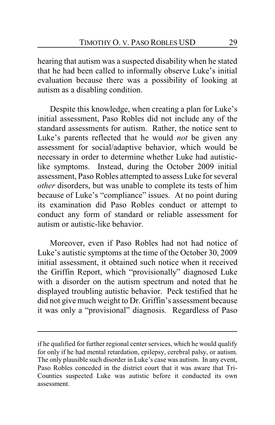hearing that autism was a suspected disability when he stated that he had been called to informally observe Luke's initial evaluation because there was a possibility of looking at autism as a disabling condition.

Despite this knowledge, when creating a plan for Luke's initial assessment, Paso Robles did not include any of the standard assessments for autism. Rather, the notice sent to Luke's parents reflected that he would *not* be given any assessment for social/adaptive behavior, which would be necessary in order to determine whether Luke had autisticlike symptoms. Instead, during the October 2009 initial assessment, Paso Robles attempted to assess Luke for several *other* disorders, but was unable to complete its tests of him because of Luke's "compliance" issues. At no point during its examination did Paso Robles conduct or attempt to conduct any form of standard or reliable assessment for autism or autistic-like behavior.

Moreover, even if Paso Robles had not had notice of Luke's autistic symptoms at the time of the October 30, 2009 initial assessment, it obtained such notice when it received the Griffin Report, which "provisionally" diagnosed Luke with a disorder on the autism spectrum and noted that he displayed troubling autistic behavior. Peck testified that he did not give much weight to Dr. Griffin's assessment because it was only a "provisional" diagnosis. Regardless of Paso

if he qualified for further regional center services, which he would qualify for only if he had mental retardation, epilepsy, cerebral palsy, or autism. The only plausible such disorder in Luke's case was autism. In any event, Paso Robles conceded in the district court that it was aware that Tri-Counties suspected Luke was autistic before it conducted its own assessment.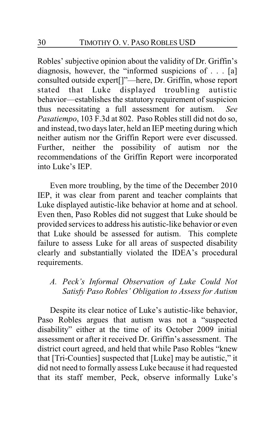Robles' subjective opinion about the validity of Dr. Griffin's diagnosis, however, the "informed suspicions of . . . [a] consulted outside expert[]"—here, Dr. Griffin, whose report stated that Luke displayed troubling autistic behavior—establishes the statutory requirement of suspicion thus necessitating a full assessment for autism. *See Pasatiempo*, 103 F.3d at 802. Paso Robles still did not do so, and instead, two days later, held an IEP meeting during which neither autism nor the Griffin Report were ever discussed. Further, neither the possibility of autism nor the recommendations of the Griffin Report were incorporated into Luke's IEP.

Even more troubling, by the time of the December 2010 IEP, it was clear from parent and teacher complaints that Luke displayed autistic-like behavior at home and at school. Even then, Paso Robles did not suggest that Luke should be provided services to address his autistic-like behavior or even that Luke should be assessed for autism. This complete failure to assess Luke for all areas of suspected disability clearly and substantially violated the IDEA's procedural requirements.

# *A. Peck's Informal Observation of Luke Could Not Satisfy Paso Robles' Obligation to Assess for Autism*

Despite its clear notice of Luke's autistic-like behavior, Paso Robles argues that autism was not a "suspected disability" either at the time of its October 2009 initial assessment or after it received Dr. Griffin's assessment. The district court agreed, and held that while Paso Robles "knew that [Tri-Counties] suspected that [Luke] may be autistic," it did not need to formally assess Luke because it had requested that its staff member, Peck, observe informally Luke's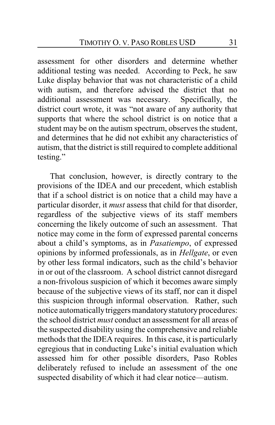assessment for other disorders and determine whether additional testing was needed. According to Peck, he saw Luke display behavior that was not characteristic of a child with autism, and therefore advised the district that no additional assessment was necessary. Specifically, the district court wrote, it was "not aware of any authority that supports that where the school district is on notice that a student may be on the autism spectrum, observes the student, and determines that he did not exhibit any characteristics of autism, that the district is still required to complete additional testing."

That conclusion, however, is directly contrary to the provisions of the IDEA and our precedent, which establish that if a school district is on notice that a child may have a particular disorder, it *must* assess that child for that disorder, regardless of the subjective views of its staff members concerning the likely outcome of such an assessment. That notice may come in the form of expressed parental concerns about a child's symptoms, as in *Pasatiempo*, of expressed opinions by informed professionals, as in *Hellgate*, or even by other less formal indicators, such as the child's behavior in or out of the classroom. A school district cannot disregard a non-frivolous suspicion of which it becomes aware simply because of the subjective views of its staff, nor can it dispel this suspicion through informal observation. Rather, such notice automatically triggers mandatory statutory procedures: the school district *must* conduct an assessment for all areas of the suspected disability using the comprehensive and reliable methods that the IDEA requires. In this case, it is particularly egregious that in conducting Luke's initial evaluation which assessed him for other possible disorders, Paso Robles deliberately refused to include an assessment of the one suspected disability of which it had clear notice—autism.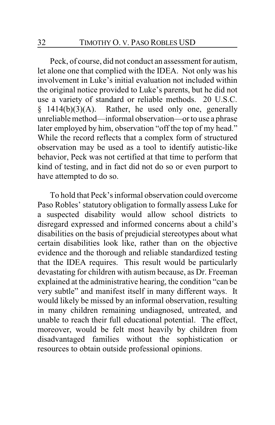Peck, of course, did not conduct an assessment for autism, let alone one that complied with the IDEA. Not only was his involvement in Luke's initial evaluation not included within the original notice provided to Luke's parents, but he did not use a variety of standard or reliable methods. 20 U.S.C.  $§$  1414(b)(3)(A). Rather, he used only one, generally unreliable method—informal observation—or to use a phrase later employed by him, observation "off the top of my head." While the record reflects that a complex form of structured observation may be used as a tool to identify autistic-like behavior, Peck was not certified at that time to perform that kind of testing, and in fact did not do so or even purport to have attempted to do so.

To hold that Peck's informal observation could overcome Paso Robles' statutory obligation to formally assess Luke for a suspected disability would allow school districts to disregard expressed and informed concerns about a child's disabilities on the basis of prejudicial stereotypes about what certain disabilities look like, rather than on the objective evidence and the thorough and reliable standardized testing that the IDEA requires. This result would be particularly devastating for children with autism because, as Dr. Freeman explained at the administrative hearing, the condition "can be very subtle" and manifest itself in many different ways. It would likely be missed by an informal observation, resulting in many children remaining undiagnosed, untreated, and unable to reach their full educational potential. The effect, moreover, would be felt most heavily by children from disadvantaged families without the sophistication or resources to obtain outside professional opinions.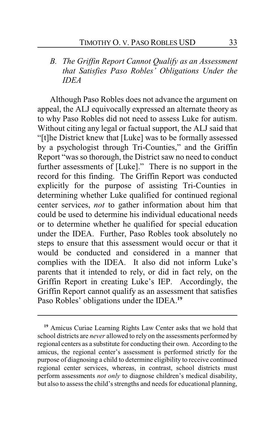*B. The Griffin Report Cannot Qualify as an Assessment that Satisfies Paso Robles' Obligations Under the IDEA*

Although Paso Robles does not advance the argument on appeal, the ALJ equivocally expressed an alternate theory as to why Paso Robles did not need to assess Luke for autism. Without citing any legal or factual support, the ALJ said that "[t]he District knew that [Luke] was to be formally assessed by a psychologist through Tri-Counties," and the Griffin Report "was so thorough, the District saw no need to conduct further assessments of [Luke]." There is no support in the record for this finding. The Griffin Report was conducted explicitly for the purpose of assisting Tri-Counties in determining whether Luke qualified for continued regional center services, *not* to gather information about him that could be used to determine his individual educational needs or to determine whether he qualified for special education under the IDEA. Further, Paso Robles took absolutely no steps to ensure that this assessment would occur or that it would be conducted and considered in a manner that complies with the IDEA. It also did not inform Luke's parents that it intended to rely, or did in fact rely, on the Griffin Report in creating Luke's IEP. Accordingly, the Griffin Report cannot qualify as an assessment that satisfies Paso Robles' obligations under the IDEA.**<sup>19</sup>**

**<sup>19</sup>** Amicus Curiae Learning Rights Law Center asks that we hold that school districts are *never* allowed to rely on the assessments performed by regional centers as a substitute for conducting their own. According to the amicus, the regional center's assessment is performed strictly for the purpose of diagnosing a child to determine eligibility to receive continued regional center services, whereas, in contrast, school districts must perform assessments *not only* to diagnose children's medical disability, but also to assess the child's strengths and needs for educational planning,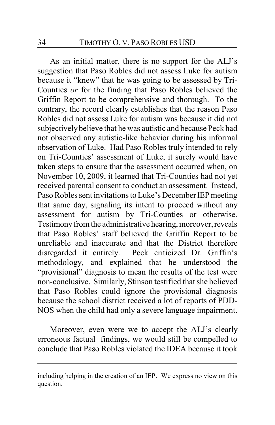As an initial matter, there is no support for the ALJ's suggestion that Paso Robles did not assess Luke for autism because it "knew" that he was going to be assessed by Tri-Counties *or* for the finding that Paso Robles believed the Griffin Report to be comprehensive and thorough. To the contrary, the record clearly establishes that the reason Paso Robles did not assess Luke for autism was because it did not subjectively believe that he was autistic and because Peck had not observed any autistic-like behavior during his informal observation of Luke. Had Paso Robles truly intended to rely on Tri-Counties' assessment of Luke, it surely would have taken steps to ensure that the assessment occurred when, on November 10, 2009, it learned that Tri-Counties had not yet received parental consent to conduct an assessment. Instead, Paso Robles sent invitations to Luke's December IEP meeting that same day, signaling its intent to proceed without any assessment for autism by Tri-Counties or otherwise. Testimony from the administrative hearing, moreover, reveals that Paso Robles' staff believed the Griffin Report to be unreliable and inaccurate and that the District therefore disregarded it entirely. Peck criticized Dr. Griffin's methodology, and explained that he understood the "provisional" diagnosis to mean the results of the test were non-conclusive. Similarly, Stinson testified that she believed that Paso Robles could ignore the provisional diagnosis because the school district received a lot of reports of PDD-NOS when the child had only a severe language impairment.

Moreover, even were we to accept the ALJ's clearly erroneous factual findings, we would still be compelled to conclude that Paso Robles violated the IDEA because it took

including helping in the creation of an IEP. We express no view on this question.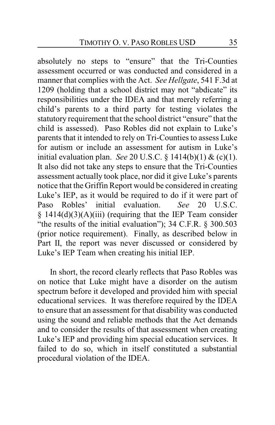absolutely no steps to "ensure" that the Tri-Counties assessment occurred or was conducted and considered in a manner that complies with the Act. *See Hellgate*, 541 F.3d at 1209 (holding that a school district may not "abdicate" its responsibilities under the IDEA and that merely referring a child's parents to a third party for testing violates the statutory requirement that the school district "ensure" that the child is assessed). Paso Robles did not explain to Luke's parents that it intended to rely on Tri-Counties to assess Luke for autism or include an assessment for autism in Luke's initial evaluation plan. *See* 20 U.S.C. § 1414(b)(1) & (c)(1). It also did not take any steps to ensure that the Tri-Counties assessment actually took place, nor did it give Luke's parents notice that the Griffin Report would be considered in creating Luke's IEP, as it would be required to do if it were part of Paso Robles' initial evaluation. *See* 20 U.S.C.  $§$  1414(d)(3)(A)(iii) (requiring that the IEP Team consider "the results of the initial evaluation"); 34 C.F.R. § 300.503 (prior notice requirement). Finally, as described below in Part II, the report was never discussed or considered by Luke's IEP Team when creating his initial IEP.

In short, the record clearly reflects that Paso Robles was on notice that Luke might have a disorder on the autism spectrum before it developed and provided him with special educational services. It was therefore required by the IDEA to ensure that an assessment for that disability was conducted using the sound and reliable methods that the Act demands and to consider the results of that assessment when creating Luke's IEP and providing him special education services. It failed to do so, which in itself constituted a substantial procedural violation of the IDEA.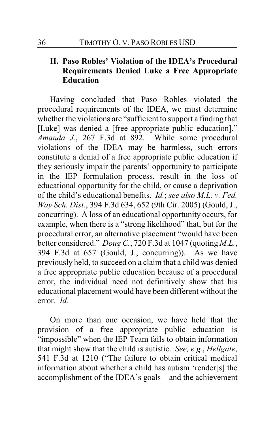# **II. Paso Robles' Violation of the IDEA's Procedural Requirements Denied Luke a Free Appropriate Education**

Having concluded that Paso Robles violated the procedural requirements of the IDEA, we must determine whether the violations are "sufficient to support a finding that [Luke] was denied a [free appropriate public education]." *Amanda J.*, 267 F.3d at 892. While some procedural violations of the IDEA may be harmless, such errors constitute a denial of a free appropriate public education if they seriously impair the parents' opportunity to participate in the IEP formulation process, result in the loss of educational opportunity for the child, or cause a deprivation of the child's educational benefits. *Id.*; *see also M.L. v. Fed. Way Sch. Dist.*, 394 F.3d 634, 652 (9th Cir. 2005) (Gould, J., concurring). A loss of an educational opportunity occurs, for example, when there is a "strong likelihood" that, but for the procedural error, an alternative placement "would have been better considered." *Doug C.*, 720 F.3d at 1047 (quoting *M.L.*, 394 F.3d at 657 (Gould, J., concurring)). As we have previously held, to succeed on a claim that a child was denied a free appropriate public education because of a procedural error, the individual need not definitively show that his educational placement would have been different without the error. *Id.*

On more than one occasion, we have held that the provision of a free appropriate public education is "impossible" when the IEP Team fails to obtain information that might show that the child is autistic. *See, e.g.*, *Hellgate*, 541 F.3d at 1210 ("The failure to obtain critical medical information about whether a child has autism 'render[s] the accomplishment of the IDEA's goals—and the achievement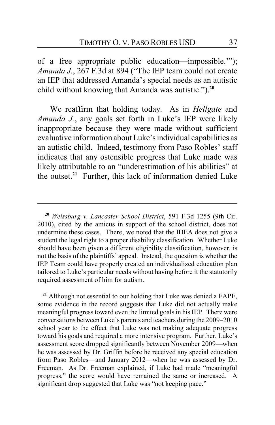of a free appropriate public education—impossible.'"); *Amanda J.*, 267 F.3d at 894 ("The IEP team could not create an IEP that addressed Amanda's special needs as an autistic child without knowing that Amanda was autistic.").**<sup>20</sup>**

We reaffirm that holding today. As in *Hellgate* and *Amanda J.*, any goals set forth in Luke's IEP were likely inappropriate because they were made without sufficient evaluative information about Luke'sindividual capabilities as an autistic child. Indeed, testimony from Paso Robles' staff indicates that any ostensible progress that Luke made was likely attributable to an "underestimation of his abilities" at the outset.**<sup>21</sup>** Further, this lack of information denied Luke

**<sup>21</sup>** Although not essential to our holding that Luke was denied a FAPE, some evidence in the record suggests that Luke did not actually make meaningful progress toward even the limited goals in his IEP. There were conversations between Luke's parents and teachers during the 2009–2010 school year to the effect that Luke was not making adequate progress toward his goals and required a more intensive program. Further, Luke's assessment score dropped significantly between November 2009—when he was assessed by Dr. Griffin before he received any special education from Paso Robles—and January 2012—when he was assessed by Dr. Freeman. As Dr. Freeman explained, if Luke had made "meaningful progress," the score would have remained the same or increased. A significant drop suggested that Luke was "not keeping pace."

**<sup>20</sup>** *Weissburg v. Lancaster School District*, 591 F.3d 1255 (9th Cir. 2010), cited by the amicus in support of the school district, does not undermine these cases. There, we noted that the IDEA does not give a student the legal right to a proper disability classification. Whether Luke should have been given a different eligibility classification, however, is not the basis of the plaintiffs' appeal. Instead, the question is whether the IEP Team could have properly created an individualized education plan tailored to Luke's particular needs without having before it the statutorily required assessment of him for autism.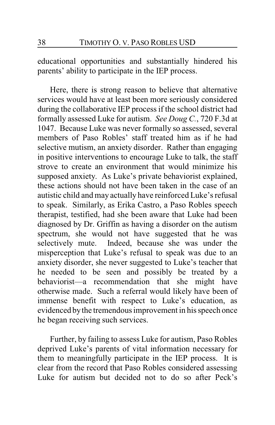educational opportunities and substantially hindered his parents' ability to participate in the IEP process.

Here, there is strong reason to believe that alternative services would have at least been more seriously considered during the collaborative IEP process if the school district had formally assessed Luke for autism. *See Doug C.*, 720 F.3d at 1047. Because Luke was never formally so assessed, several members of Paso Robles' staff treated him as if he had selective mutism, an anxiety disorder. Rather than engaging in positive interventions to encourage Luke to talk, the staff strove to create an environment that would minimize his supposed anxiety. As Luke's private behaviorist explained, these actions should not have been taken in the case of an autistic child and may actually have reinforced Luke's refusal to speak. Similarly, as Erika Castro, a Paso Robles speech therapist, testified, had she been aware that Luke had been diagnosed by Dr. Griffin as having a disorder on the autism spectrum, she would not have suggested that he was selectively mute. Indeed, because she was under the misperception that Luke's refusal to speak was due to an anxiety disorder, she never suggested to Luke's teacher that he needed to be seen and possibly be treated by a behaviorist—a recommendation that she might have otherwise made. Such a referral would likely have been of immense benefit with respect to Luke's education, as evidenced bythe tremendous improvement in his speech once he began receiving such services.

Further, by failing to assess Luke for autism, Paso Robles deprived Luke's parents of vital information necessary for them to meaningfully participate in the IEP process. It is clear from the record that Paso Robles considered assessing Luke for autism but decided not to do so after Peck's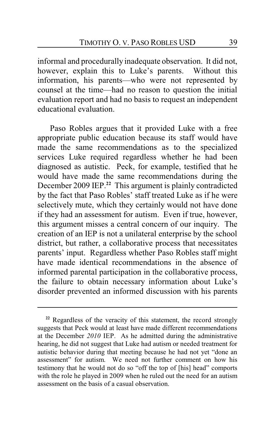informal and procedurally inadequate observation. It did not, however, explain this to Luke's parents. Without this information, his parents—who were not represented by counsel at the time—had no reason to question the initial evaluation report and had no basis to request an independent educational evaluation.

Paso Robles argues that it provided Luke with a free appropriate public education because its staff would have made the same recommendations as to the specialized services Luke required regardless whether he had been diagnosed as autistic. Peck, for example, testified that he would have made the same recommendations during the December 2009 IEP.**<sup>22</sup>** This argument is plainly contradicted by the fact that Paso Robles' staff treated Luke as if he were selectively mute, which they certainly would not have done if they had an assessment for autism. Even if true, however, this argument misses a central concern of our inquiry. The creation of an IEP is not a unilateral enterprise by the school district, but rather, a collaborative process that necessitates parents' input. Regardless whether Paso Robles staff might have made identical recommendations in the absence of informed parental participation in the collaborative process, the failure to obtain necessary information about Luke's disorder prevented an informed discussion with his parents

<sup>&</sup>lt;sup>22</sup> Regardless of the veracity of this statement, the record strongly suggests that Peck would at least have made different recommendations at the December *2010* IEP. As he admitted during the administrative hearing, he did not suggest that Luke had autism or needed treatment for autistic behavior during that meeting because he had not yet "done an assessment" for autism. We need not further comment on how his testimony that he would not do so "off the top of [his] head" comports with the role he played in 2009 when he ruled out the need for an autism assessment on the basis of a casual observation.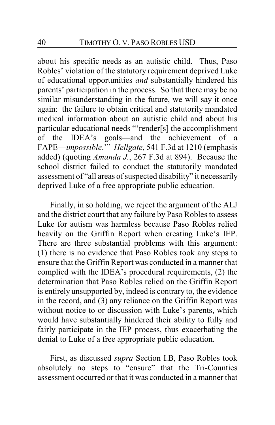about his specific needs as an autistic child. Thus, Paso Robles' violation of the statutory requirement deprived Luke of educational opportunities *and* substantially hindered his parents' participation in the process. So that there may be no similar misunderstanding in the future, we will say it once again: the failure to obtain critical and statutorily mandated medical information about an autistic child and about his particular educational needs "'render[s] the accomplishment of the IDEA's goals—and the achievement of a FAPE—*impossible*.'" *Hellgate*, 541 F.3d at 1210 (emphasis added) (quoting *Amanda J.*, 267 F.3d at 894). Because the school district failed to conduct the statutorily mandated assessment of "all areas of suspected disability" it necessarily deprived Luke of a free appropriate public education.

Finally, in so holding, we reject the argument of the ALJ and the district court that any failure by Paso Robles to assess Luke for autism was harmless because Paso Robles relied heavily on the Griffin Report when creating Luke's IEP. There are three substantial problems with this argument: (1) there is no evidence that Paso Robles took any steps to ensure that the Griffin Report was conducted in a manner that complied with the IDEA's procedural requirements, (2) the determination that Paso Robles relied on the Griffin Report is entirely unsupported by, indeed is contrary to, the evidence in the record, and (3) any reliance on the Griffin Report was without notice to or discussion with Luke's parents, which would have substantially hindered their ability to fully and fairly participate in the IEP process, thus exacerbating the denial to Luke of a free appropriate public education.

First, as discussed *supra* Section I.B, Paso Robles took absolutely no steps to "ensure" that the Tri-Counties assessment occurred or that it was conducted in a manner that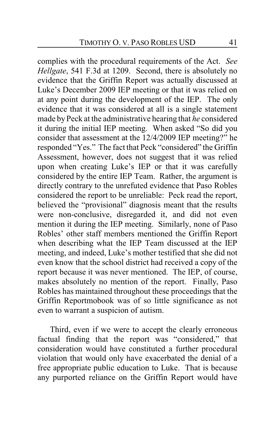complies with the procedural requirements of the Act. *See Hellgate*, 541 F.3d at 1209. Second, there is absolutely no evidence that the Griffin Report was actually discussed at Luke's December 2009 IEP meeting or that it was relied on at any point during the development of the IEP. The only evidence that it was considered at all is a single statement made by Peck at the administrative hearing that *he* considered it during the initial IEP meeting. When asked "So did you consider that assessment at the 12/4/2009 IEP meeting?" he responded "Yes." The fact that Peck "considered" the Griffin Assessment, however, does not suggest that it was relied upon when creating Luke's IEP or that it was carefully considered by the entire IEP Team. Rather, the argument is directly contrary to the unrefuted evidence that Paso Robles considered the report to be unreliable: Peck read the report, believed the "provisional" diagnosis meant that the results were non-conclusive, disregarded it, and did not even mention it during the IEP meeting. Similarly, none of Paso Robles' other staff members mentioned the Griffin Report when describing what the IEP Team discussed at the IEP meeting, and indeed, Luke's mother testified that she did not even know that the school district had received a copy of the report because it was never mentioned. The IEP, of course, makes absolutely no mention of the report. Finally, Paso Robles has maintained throughout these proceedings that the Griffin Reportmobook was of so little significance as not even to warrant a suspicion of autism.

Third, even if we were to accept the clearly erroneous factual finding that the report was "considered," that consideration would have constituted a further procedural violation that would only have exacerbated the denial of a free appropriate public education to Luke. That is because any purported reliance on the Griffin Report would have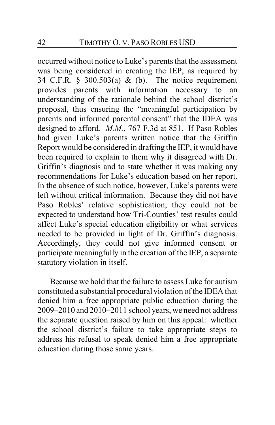occurred without notice to Luke's parents that the assessment was being considered in creating the IEP, as required by 34 C.F.R.  $\S$  300.503(a) & (b). The notice requirement provides parents with information necessary to an understanding of the rationale behind the school district's proposal, thus ensuring the "meaningful participation by parents and informed parental consent" that the IDEA was designed to afford. *M.M.*, 767 F.3d at 851. If Paso Robles had given Luke's parents written notice that the Griffin Report would be considered in drafting the IEP, it would have been required to explain to them why it disagreed with Dr. Griffin's diagnosis and to state whether it was making any recommendations for Luke's education based on her report. In the absence of such notice, however, Luke's parents were left without critical information. Because they did not have Paso Robles' relative sophistication, they could not be expected to understand how Tri-Counties' test results could affect Luke's special education eligibility or what services needed to be provided in light of Dr. Griffin's diagnosis. Accordingly, they could not give informed consent or participate meaningfully in the creation of the IEP, a separate statutory violation in itself.

Because we hold that the failure to assess Luke for autism constituted a substantial procedural violation of the IDEA that denied him a free appropriate public education during the 2009–2010 and 2010–2011 school years, we need not address the separate question raised by him on this appeal: whether the school district's failure to take appropriate steps to address his refusal to speak denied him a free appropriate education during those same years.